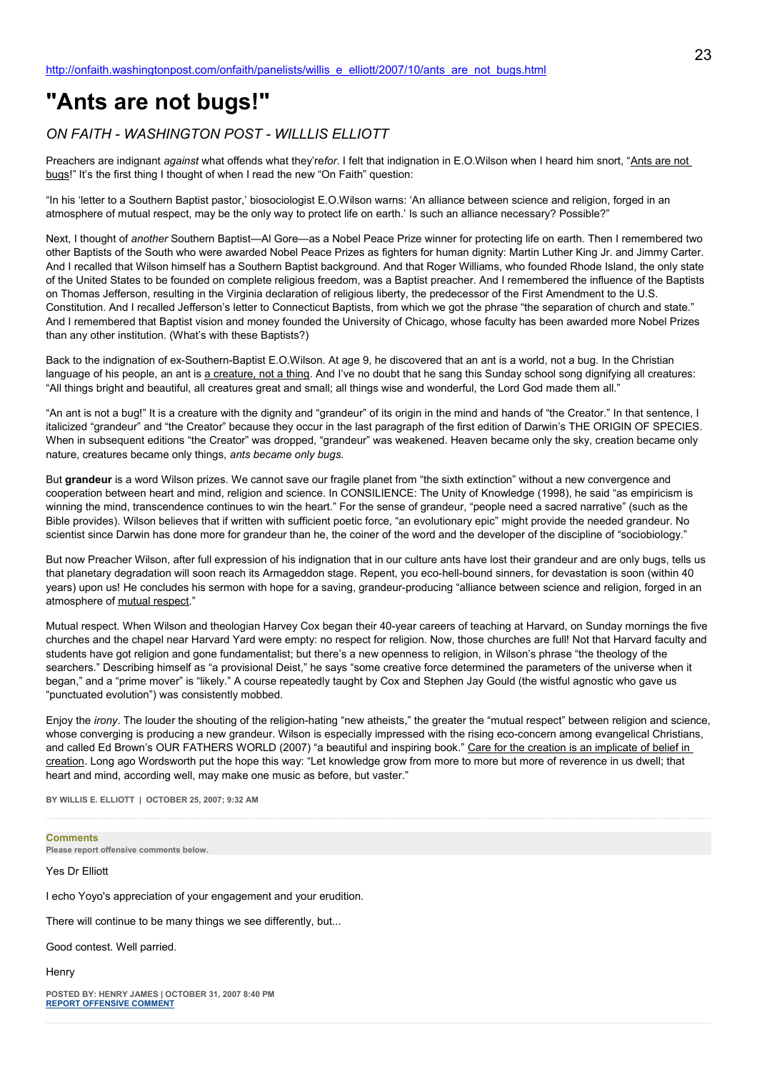# **"Ants are not bugs!"**

# *ON FAITH - WASHINGTON POST - WILLLIS ELLIOTT*

Preachers are indignant *against* what offends what they're*for*. I felt that indignation in E.O.Wilson when I heard him snort, "Ants are not bugs!" It's the first thing I thought of when I read the new "On Faith" question:

"In his 'letter to a Southern Baptist pastor,' biosociologist E.O.Wilson warns: 'An alliance between science and religion, forged in an atmosphere of mutual respect, may be the only way to protect life on earth.' Is such an alliance necessary? Possible?"

Next, I thought of *another* Southern Baptist—Al Gore—as a Nobel Peace Prize winner for protecting life on earth. Then I remembered two other Baptists of the South who were awarded Nobel Peace Prizes as fighters for human dignity: Martin Luther King Jr. and Jimmy Carter. And I recalled that Wilson himself has a Southern Baptist background. And that Roger Williams, who founded Rhode Island, the only state of the United States to be founded on complete religious freedom, was a Baptist preacher. And I remembered the influence of the Baptists on Thomas Jefferson, resulting in the Virginia declaration of religious liberty, the predecessor of the First Amendment to the U.S. Constitution. And I recalled Jefferson's letter to Connecticut Baptists, from which we got the phrase "the separation of church and state." And I remembered that Baptist vision and money founded the University of Chicago, whose faculty has been awarded more Nobel Prizes than any other institution. (What's with these Baptists?)

Back to the indignation of ex-Southern-Baptist E.O.Wilson. At age 9, he discovered that an ant is a world, not a bug. In the Christian language of his people, an ant is a creature, not a thing. And I've no doubt that he sang this Sunday school song dignifying all creatures: "All things bright and beautiful, all creatures great and small; all things wise and wonderful, the Lord God made them all."

"An ant is not a bug!" It is a creature with the dignity and "grandeur" of its origin in the mind and hands of "the Creator." In that sentence, I italicized "grandeur" and "the Creator" because they occur in the last paragraph of the first edition of Darwin's THE ORIGIN OF SPECIES. When in subsequent editions "the Creator" was dropped, "grandeur" was weakened. Heaven became only the sky, creation became only nature, creatures became only things, *ants became only bugs.*

But **grandeur** is a word Wilson prizes. We cannot save our fragile planet from "the sixth extinction" without a new convergence and cooperation between heart and mind, religion and science. In CONSILIENCE: The Unity of Knowledge (1998), he said "as empiricism is winning the mind, transcendence continues to win the heart." For the sense of grandeur, "people need a sacred narrative" (such as the Bible provides). Wilson believes that if written with sufficient poetic force, "an evolutionary epic" might provide the needed grandeur. No scientist since Darwin has done more for grandeur than he, the coiner of the word and the developer of the discipline of "sociobiology."

But now Preacher Wilson, after full expression of his indignation that in our culture ants have lost their grandeur and are only bugs, tells us that planetary degradation will soon reach its Armageddon stage. Repent, you eco-hell-bound sinners, for devastation is soon (within 40 years) upon us! He concludes his sermon with hope for a saving, grandeur-producing "alliance between science and religion, forged in an atmosphere of mutual respect."

Mutual respect. When Wilson and theologian Harvey Cox began their 40-year careers of teaching at Harvard, on Sunday mornings the five churches and the chapel near Harvard Yard were empty: no respect for religion. Now, those churches are full! Not that Harvard faculty and students have got religion and gone fundamentalist; but there's a new openness to religion, in Wilson's phrase "the theology of the searchers." Describing himself as "a provisional Deist," he says "some creative force determined the parameters of the universe when it began," and a "prime mover" is "likely." A course repeatedly taught by Cox and Stephen Jay Gould (the wistful agnostic who gave us "punctuated evolution") was consistently mobbed.

Enjoy the *irony*. The louder the shouting of the religion-hating "new atheists," the greater the "mutual respect" between religion and science, whose converging is producing a new grandeur. Wilson is especially impressed with the rising eco-concern among evangelical Christians, and called Ed Brown's OUR FATHERS WORLD (2007) "a beautiful and inspiring book." Care for the creation is an implicate of belief in creation. Long ago Wordsworth put the hope this way: "Let knowledge grow from more to more but more of reverence in us dwell; that heart and mind, according well, may make one music as before, but vaster."

**BY WILLIS E. ELLIOTT | OCTOBER 25, 2007; 9:32 AM** 

#### **Comments**

**Please report offensive comments below.**

Yes Dr Elliott

I echo Yoyo's appreciation of your engagement and your erudition.

There will continue to be many things we see differently, but...

Good contest. Well parried.

**Henry** 

**POSTED BY: HENRY JAMES | OCTOBER 31, 2007 8:40 PM [REPORT OFFENSIVE COMMENT](mailto:blogs@washingtonpost.com?subject=On%20Faith%20Panelists%20Blog%20%20%7C%20%20Henry%20James%20%20%7C%20%20)**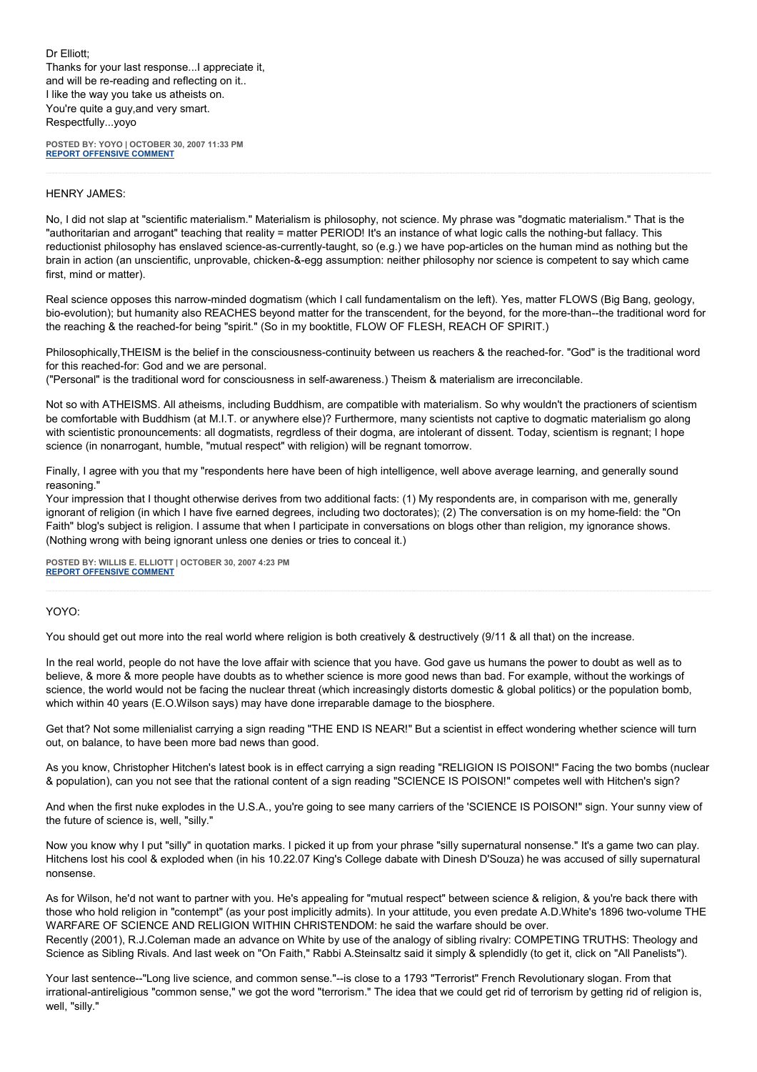Dr Elliott; Thanks for your last response...I appreciate it, and will be re-reading and reflecting on it.. I like the way you take us atheists on. You're quite a guy,and very smart. Respectfully...yoyo

**POSTED BY: YOYO | OCTOBER 30, 2007 11:33 PM [REPORT OFFENSIVE COMMENT](mailto:blogs@washingtonpost.com?subject=On%20Faith%20Panelists%20Blog%20%20%7C%20%20yoyo%20%20%7C%20%20)**

## HENRY JAMES:

No, I did not slap at "scientific materialism." Materialism is philosophy, not science. My phrase was "dogmatic materialism." That is the "authoritarian and arrogant" teaching that reality = matter PERIOD! It's an instance of what logic calls the nothing-but fallacy. This reductionist philosophy has enslaved science-as-currently-taught, so (e.g.) we have pop-articles on the human mind as nothing but the brain in action (an unscientific, unprovable, chicken-&-egg assumption: neither philosophy nor science is competent to say which came first, mind or matter).

Real science opposes this narrow-minded dogmatism (which I call fundamentalism on the left). Yes, matter FLOWS (Big Bang, geology, bio-evolution); but humanity also REACHES beyond matter for the transcendent, for the beyond, for the more-than--the traditional word for the reaching & the reached-for being "spirit." (So in my booktitle, FLOW OF FLESH, REACH OF SPIRIT.)

Philosophically,THEISM is the belief in the consciousness-continuity between us reachers & the reached-for. "God" is the traditional word for this reached-for: God and we are personal.

("Personal" is the traditional word for consciousness in self-awareness.) Theism & materialism are irreconcilable.

Not so with ATHEISMS. All atheisms, including Buddhism, are compatible with materialism. So why wouldn't the practioners of scientism be comfortable with Buddhism (at M.I.T. or anywhere else)? Furthermore, many scientists not captive to dogmatic materialism go along with scientistic pronouncements: all dogmatists, regrdless of their dogma, are intolerant of dissent. Today, scientism is regnant; I hope science (in nonarrogant, humble, "mutual respect" with religion) will be regnant tomorrow.

Finally, I agree with you that my "respondents here have been of high intelligence, well above average learning, and generally sound reasoning."

Your impression that I thought otherwise derives from two additional facts: (1) My respondents are, in comparison with me, generally ignorant of religion (in which I have five earned degrees, including two doctorates); (2) The conversation is on my home-field: the "On Faith" blog's subject is religion. I assume that when I participate in conversations on blogs other than religion, my ignorance shows. (Nothing wrong with being ignorant unless one denies or tries to conceal it.)

**POSTED BY: WILLIS E. ELLIOTT | OCTOBER 30, 2007 4:23 PM [REPORT OFFENSIVE COMMENT](mailto:blogs@washingtonpost.com?subject=On%20Faith%20Panelists%20Blog%20%20%7C%20%20Willis%20E.%20Elliott%20%20%7C%20%20)**

## YOYO:

You should get out more into the real world where religion is both creatively & destructively (9/11 & all that) on the increase.

In the real world, people do not have the love affair with science that you have. God gave us humans the power to doubt as well as to believe, & more & more people have doubts as to whether science is more good news than bad. For example, without the workings of science, the world would not be facing the nuclear threat (which increasingly distorts domestic & global politics) or the population bomb, which within 40 years (E.O.Wilson says) may have done irreparable damage to the biosphere.

Get that? Not some millenialist carrying a sign reading "THE END IS NEAR!" But a scientist in effect wondering whether science will turn out, on balance, to have been more bad news than good.

As you know, Christopher Hitchen's latest book is in effect carrying a sign reading "RELIGION IS POISON!" Facing the two bombs (nuclear & population), can you not see that the rational content of a sign reading "SCIENCE IS POISON!" competes well with Hitchen's sign?

And when the first nuke explodes in the U.S.A., you're going to see many carriers of the 'SCIENCE IS POISON!" sign. Your sunny view of the future of science is, well, "silly."

Now you know why I put "silly" in quotation marks. I picked it up from your phrase "silly supernatural nonsense." It's a game two can play. Hitchens lost his cool & exploded when (in his 10.22.07 King's College dabate with Dinesh D'Souza) he was accused of silly supernatural nonsense.

As for Wilson, he'd not want to partner with you. He's appealing for "mutual respect" between science & religion, & you're back there with those who hold religion in "contempt" (as your post implicitly admits). In your attitude, you even predate A.D.White's 1896 two-volume THE WARFARE OF SCIENCE AND RELIGION WITHIN CHRISTENDOM: he said the warfare should be over. Recently (2001), R.J.Coleman made an advance on White by use of the analogy of sibling rivalry: COMPETING TRUTHS: Theology and

Science as Sibling Rivals. And last week on "On Faith," Rabbi A.Steinsaltz said it simply & splendidly (to get it, click on "All Panelists").

Your last sentence--"Long live science, and common sense."--is close to a 1793 "Terrorist" French Revolutionary slogan. From that irrational-antireligious "common sense," we got the word "terrorism." The idea that we could get rid of terrorism by getting rid of religion is, well, "silly."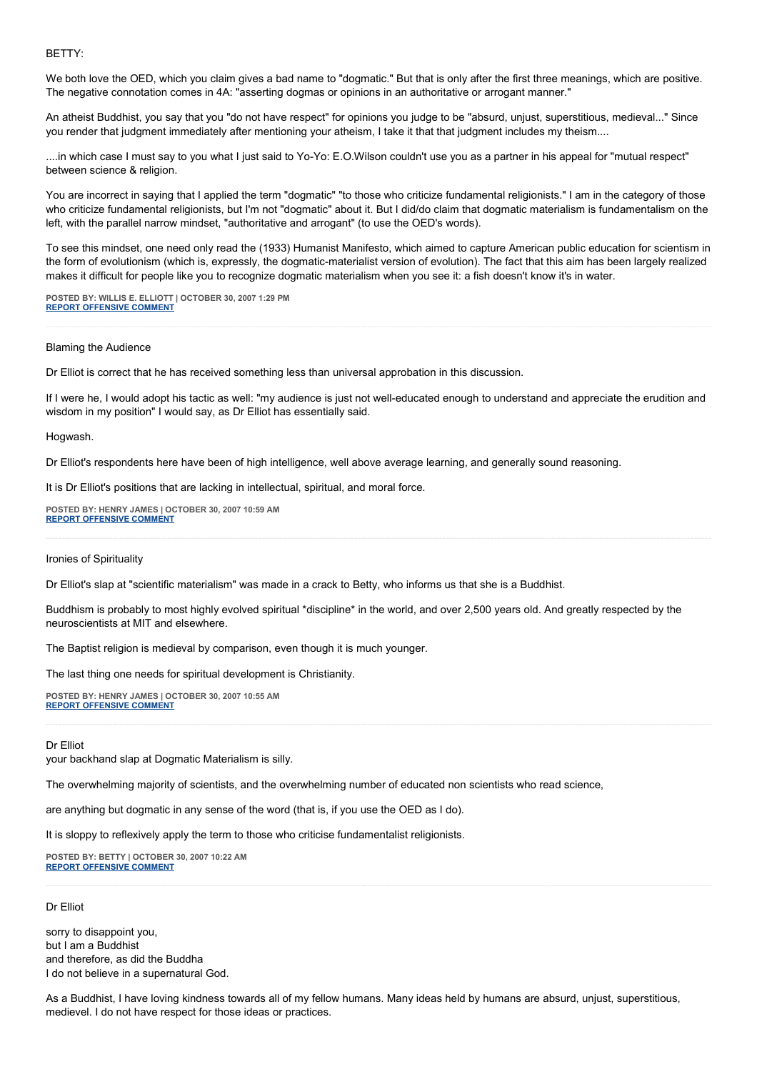BETTY:

We both love the OED, which you claim gives a bad name to "dogmatic." But that is only after the first three meanings, which are positive. The negative connotation comes in 4A: "asserting dogmas or opinions in an authoritative or arrogant manner."

An atheist Buddhist, you say that you "do not have respect" for opinions you judge to be "absurd, unjust, superstitious, medieval..." Since you render that judgment immediately after mentioning your atheism, I take it that that judgment includes my theism....

....in which case I must say to you what I just said to Yo-Yo: E.O.Wilson couldn't use you as a partner in his appeal for "mutual respect" between science & religion.

You are incorrect in saying that I applied the term "dogmatic" "to those who criticize fundamental religionists." I am in the category of those who criticize fundamental religionists, but I'm not "dogmatic" about it. But I did/do claim that dogmatic materialism is fundamentalism on the left, with the parallel narrow mindset, "authoritative and arrogant" (to use the OED's words).

To see this mindset, one need only read the (1933) Humanist Manifesto, which aimed to capture American public education for scientism in the form of evolutionism (which is, expressly, the dogmatic-materialist version of evolution). The fact that this aim has been largely realized makes it difficult for people like you to recognize dogmatic materialism when you see it: a fish doesn't know it's in water.

**POSTED BY: WILLIS E. ELLIOTT | OCTOBER 30, 2007 1:29 PM [REPORT OFFENSIVE COMMENT](mailto:blogs@washingtonpost.com?subject=On%20Faith%20Panelists%20Blog%20%20%7C%20%20Willis%20E.%20Elliott%20%20%7C%20%20)**

#### Blaming the Audience

Dr Elliot is correct that he has received something less than universal approbation in this discussion.

If I were he, I would adopt his tactic as well: "my audience is just not well-educated enough to understand and appreciate the erudition and wisdom in my position" I would say, as Dr Elliot has essentially said.

Hogwash.

Dr Elliot's respondents here have been of high intelligence, well above average learning, and generally sound reasoning.

It is Dr Elliot's positions that are lacking in intellectual, spiritual, and moral force.

**POSTED BY: HENRY JAMES | OCTOBER 30, 2007 10:59 AM [REPORT OFFENSIVE COMMENT](mailto:blogs@washingtonpost.com?subject=On%20Faith%20Panelists%20Blog%20%20%7C%20%20Henry%20James%20%20%7C%20%20)**

Ironies of Spirituality

Dr Elliot's slap at "scientific materialism" was made in a crack to Betty, who informs us that she is a Buddhist.

Buddhism is probably to most highly evolved spiritual \*discipline\* in the world, and over 2,500 years old. And greatly respected by the neuroscientists at MIT and elsewhere.

The Baptist religion is medieval by comparison, even though it is much younger.

The last thing one needs for spiritual development is Christianity.

**POSTED BY: HENRY JAMES | OCTOBER 30, 2007 10:55 AM [REPORT OFFENSIVE COMMENT](mailto:blogs@washingtonpost.com?subject=On%20Faith%20Panelists%20Blog%20%20%7C%20%20Henry%20James%20%20%7C%20%20)**

#### Dr Elliot

your backhand slap at Dogmatic Materialism is silly.

The overwhelming majority of scientists, and the overwhelming number of educated non scientists who read science,

are anything but dogmatic in any sense of the word (that is, if you use the OED as I do).

It is sloppy to reflexively apply the term to those who criticise fundamentalist religionists.

**POSTED BY: BETTY | OCTOBER 30, 2007 10:22 AM [REPORT OFFENSIVE COMMENT](mailto:blogs@washingtonpost.com?subject=On%20Faith%20Panelists%20Blog%20%20%7C%20%20Betty%20%20%7C%20%20)**

#### Dr Elliot

sorry to disappoint you, but I am a Buddhist and therefore, as did the Buddha I do not believe in a supernatural God.

As a Buddhist, I have loving kindness towards all of my fellow humans. Many ideas held by humans are absurd, unjust, superstitious, medievel. I do not have respect for those ideas or practices.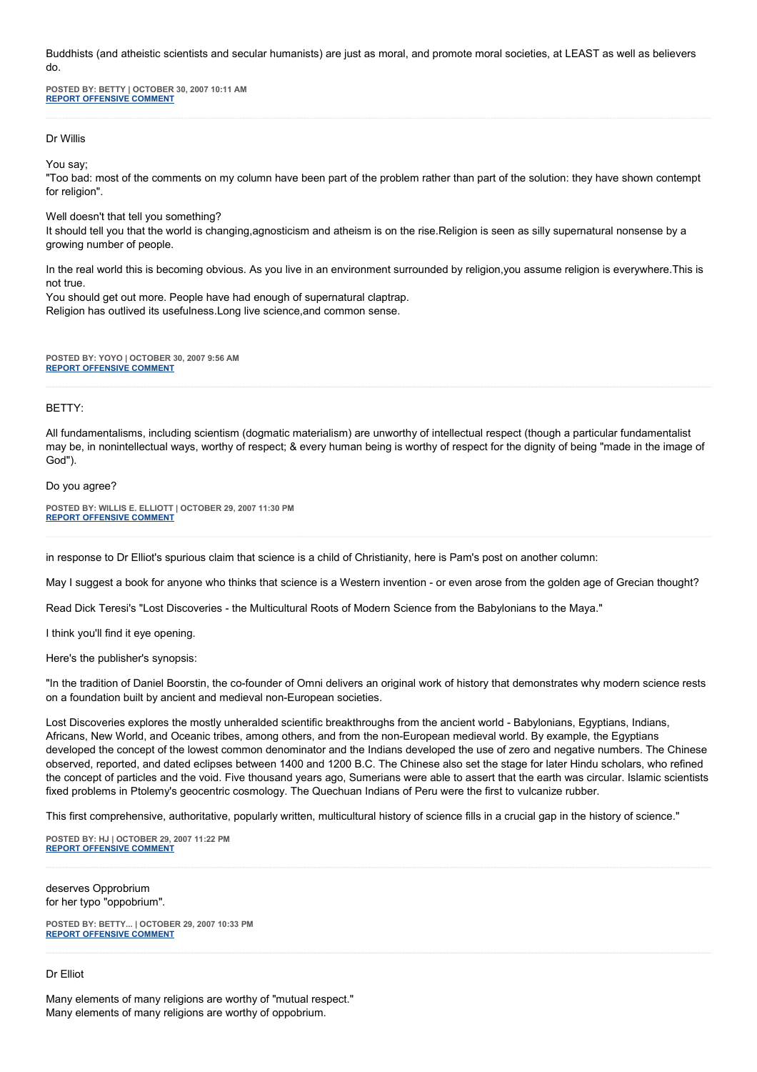Buddhists (and atheistic scientists and secular humanists) are just as moral, and promote moral societies, at LEAST as well as believers do.

**POSTED BY: BETTY | OCTOBER 30, 2007 10:11 AM [REPORT OFFENSIVE COMMENT](mailto:blogs@washingtonpost.com?subject=On%20Faith%20Panelists%20Blog%20%20%7C%20%20Betty%20%20%7C%20%20)**

Dr Willis

You say;

"Too bad: most of the comments on my column have been part of the problem rather than part of the solution: they have shown contempt for religion".

Well doesn't that tell you something?

It should tell you that the world is changing,agnosticism and atheism is on the rise.Religion is seen as silly supernatural nonsense by a growing number of people.

In the real world this is becoming obvious. As you live in an environment surrounded by religion,you assume religion is everywhere.This is not true.

You should get out more. People have had enough of supernatural claptrap. Religion has outlived its usefulness.Long live science,and common sense.

**POSTED BY: YOYO | OCTOBER 30, 2007 9:56 AM [REPORT OFFENSIVE COMMENT](mailto:blogs@washingtonpost.com?subject=On%20Faith%20Panelists%20Blog%20%20%7C%20%20yoyo%20%20%7C%20%20)**

#### BETTY:

All fundamentalisms, including scientism (dogmatic materialism) are unworthy of intellectual respect (though a particular fundamentalist may be, in nonintellectual ways, worthy of respect; & every human being is worthy of respect for the dignity of being "made in the image of God").

#### Do you agree?

**POSTED BY: WILLIS E. ELLIOTT | OCTOBER 29, 2007 11:30 PM [REPORT OFFENSIVE COMMENT](mailto:blogs@washingtonpost.com?subject=On%20Faith%20Panelists%20Blog%20%20%7C%20%20Willis%20E.%20Elliott%20%20%7C%20%20)**

in response to Dr Elliot's spurious claim that science is a child of Christianity, here is Pam's post on another column:

May I suggest a book for anyone who thinks that science is a Western invention - or even arose from the golden age of Grecian thought?

Read Dick Teresi's "Lost Discoveries - the Multicultural Roots of Modern Science from the Babylonians to the Maya."

I think you'll find it eye opening.

Here's the publisher's synopsis:

"In the tradition of Daniel Boorstin, the co-founder of Omni delivers an original work of history that demonstrates why modern science rests on a foundation built by ancient and medieval non-European societies.

Lost Discoveries explores the mostly unheralded scientific breakthroughs from the ancient world - Babylonians, Egyptians, Indians, Africans, New World, and Oceanic tribes, among others, and from the non-European medieval world. By example, the Egyptians developed the concept of the lowest common denominator and the Indians developed the use of zero and negative numbers. The Chinese observed, reported, and dated eclipses between 1400 and 1200 B.C. The Chinese also set the stage for later Hindu scholars, who refined the concept of particles and the void. Five thousand years ago, Sumerians were able to assert that the earth was circular. Islamic scientists fixed problems in Ptolemy's geocentric cosmology. The Quechuan Indians of Peru were the first to vulcanize rubber.

This first comprehensive, authoritative, popularly written, multicultural history of science fills in a crucial gap in the history of science."

**POSTED BY: HJ | OCTOBER 29, 2007 11:22 PM [REPORT OFFENSIVE COMMENT](mailto:blogs@washingtonpost.com?subject=On%20Faith%20Panelists%20Blog%20%20%7C%20%20HJ%20%20%7C%20%20)**

deserves Opprobrium for her typo "oppobrium".

**POSTED BY: BETTY... | OCTOBER 29, 2007 10:33 PM [REPORT OFFENSIVE COMMENT](mailto:blogs@washingtonpost.com?subject=On%20Faith%20Panelists%20Blog%20%20%7C%20%20Betty...%20%20%7C%20%20)**

## Dr Elliot

Many elements of many religions are worthy of "mutual respect." Many elements of many religions are worthy of oppobrium.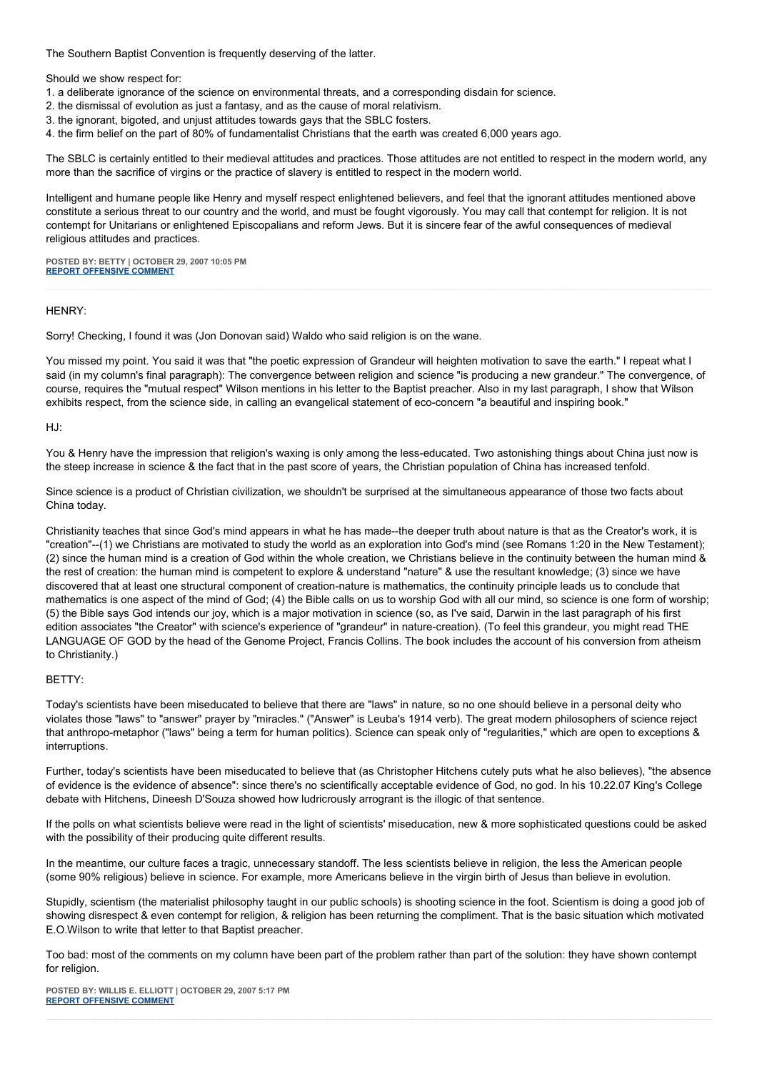The Southern Baptist Convention is frequently deserving of the latter.

Should we show respect for:

- 1. a deliberate ignorance of the science on environmental threats, and a corresponding disdain for science.
- 2. the dismissal of evolution as just a fantasy, and as the cause of moral relativism.
- 3. the ignorant, bigoted, and unjust attitudes towards gays that the SBLC fosters.
- 4. the firm belief on the part of 80% of fundamentalist Christians that the earth was created 6,000 years ago.

The SBLC is certainly entitled to their medieval attitudes and practices. Those attitudes are not entitled to respect in the modern world, any more than the sacrifice of virgins or the practice of slavery is entitled to respect in the modern world.

Intelligent and humane people like Henry and myself respect enlightened believers, and feel that the ignorant attitudes mentioned above constitute a serious threat to our country and the world, and must be fought vigorously. You may call that contempt for religion. It is not contempt for Unitarians or enlightened Episcopalians and reform Jews. But it is sincere fear of the awful consequences of medieval religious attitudes and practices.

**POSTED BY: BETTY | OCTOBER 29, 2007 10:05 PM [REPORT OFFENSIVE COMMENT](mailto:blogs@washingtonpost.com?subject=On%20Faith%20Panelists%20Blog%20%20%7C%20%20Betty%20%20%7C%20%20)**

## HENRY:

Sorry! Checking, I found it was (Jon Donovan said) Waldo who said religion is on the wane.

You missed my point. You said it was that "the poetic expression of Grandeur will heighten motivation to save the earth." I repeat what I said (in my column's final paragraph): The convergence between religion and science "is producing a new grandeur." The convergence, of course, requires the "mutual respect" Wilson mentions in his letter to the Baptist preacher. Also in my last paragraph, I show that Wilson exhibits respect, from the science side, in calling an evangelical statement of eco-concern "a beautiful and inspiring book."

HJ:

You & Henry have the impression that religion's waxing is only among the less-educated. Two astonishing things about China just now is the steep increase in science & the fact that in the past score of years, the Christian population of China has increased tenfold.

Since science is a product of Christian civilization, we shouldn't be surprised at the simultaneous appearance of those two facts about China today.

Christianity teaches that since God's mind appears in what he has made--the deeper truth about nature is that as the Creator's work, it is "creation"--(1) we Christians are motivated to study the world as an exploration into God's mind (see Romans 1:20 in the New Testament); (2) since the human mind is a creation of God within the whole creation, we Christians believe in the continuity between the human mind & the rest of creation: the human mind is competent to explore & understand "nature" & use the resultant knowledge; (3) since we have discovered that at least one structural component of creation-nature is mathematics, the continuity principle leads us to conclude that mathematics is one aspect of the mind of God; (4) the Bible calls on us to worship God with all our mind, so science is one form of worship; (5) the Bible says God intends our joy, which is a major motivation in science (so, as I've said, Darwin in the last paragraph of his first edition associates "the Creator" with science's experience of "grandeur" in nature-creation). (To feel this grandeur, you might read THE LANGUAGE OF GOD by the head of the Genome Project, Francis Collins. The book includes the account of his conversion from atheism to Christianity.)

## BETTY:

Today's scientists have been miseducated to believe that there are "laws" in nature, so no one should believe in a personal deity who violates those "laws" to "answer" prayer by "miracles." ("Answer" is Leuba's 1914 verb). The great modern philosophers of science reject that anthropo-metaphor ("laws" being a term for human politics). Science can speak only of "regularities," which are open to exceptions & interruptions.

Further, today's scientists have been miseducated to believe that (as Christopher Hitchens cutely puts what he also believes), "the absence of evidence is the evidence of absence": since there's no scientifically acceptable evidence of God, no god. In his 10.22.07 King's College debate with Hitchens, Dineesh D'Souza showed how ludricrously arrogrant is the illogic of that sentence.

If the polls on what scientists believe were read in the light of scientists' miseducation, new & more sophisticated questions could be asked with the possibility of their producing quite different results.

In the meantime, our culture faces a tragic, unnecessary standoff. The less scientists believe in religion, the less the American people (some 90% religious) believe in science. For example, more Americans believe in the virgin birth of Jesus than believe in evolution.

Stupidly, scientism (the materialist philosophy taught in our public schools) is shooting science in the foot. Scientism is doing a good job of showing disrespect & even contempt for religion, & religion has been returning the compliment. That is the basic situation which motivated E.O.Wilson to write that letter to that Baptist preacher.

Too bad: most of the comments on my column have been part of the problem rather than part of the solution: they have shown contempt for religion.

**POSTED BY: WILLIS E. ELLIOTT | OCTOBER 29, 2007 5:17 PM [REPORT OFFENSIVE COMMENT](mailto:blogs@washingtonpost.com?subject=On%20Faith%20Panelists%20Blog%20%20%7C%20%20Willis%20E.%20Elliott%20%20%7C%20%20)**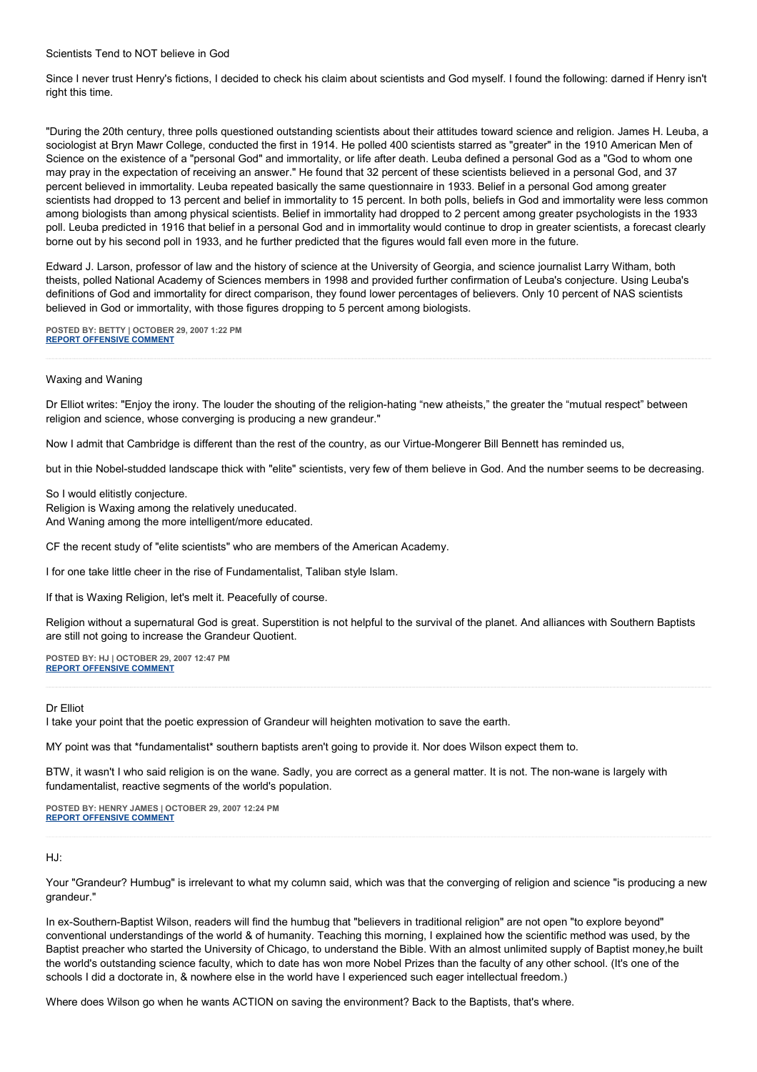Scientists Tend to NOT believe in God

Since I never trust Henry's fictions, I decided to check his claim about scientists and God myself. I found the following: darned if Henry isn't right this time.

"During the 20th century, three polls questioned outstanding scientists about their attitudes toward science and religion. James H. Leuba, a sociologist at Bryn Mawr College, conducted the first in 1914. He polled 400 scientists starred as "greater" in the 1910 American Men of Science on the existence of a "personal God" and immortality, or life after death. Leuba defined a personal God as a "God to whom one may pray in the expectation of receiving an answer." He found that 32 percent of these scientists believed in a personal God, and 37 percent believed in immortality. Leuba repeated basically the same questionnaire in 1933. Belief in a personal God among greater scientists had dropped to 13 percent and belief in immortality to 15 percent. In both polls, beliefs in God and immortality were less common among biologists than among physical scientists. Belief in immortality had dropped to 2 percent among greater psychologists in the 1933 poll. Leuba predicted in 1916 that belief in a personal God and in immortality would continue to drop in greater scientists, a forecast clearly borne out by his second poll in 1933, and he further predicted that the figures would fall even more in the future.

Edward J. Larson, professor of law and the history of science at the University of Georgia, and science journalist Larry Witham, both theists, polled National Academy of Sciences members in 1998 and provided further confirmation of Leuba's conjecture. Using Leuba's definitions of God and immortality for direct comparison, they found lower percentages of believers. Only 10 percent of NAS scientists believed in God or immortality, with those figures dropping to 5 percent among biologists.

**POSTED BY: BETTY | OCTOBER 29, 2007 1:22 PM [REPORT OFFENSIVE COMMENT](mailto:blogs@washingtonpost.com?subject=On%20Faith%20Panelists%20Blog%20%20%7C%20%20Betty%20%20%7C%20%20)**

#### Waxing and Waning

Dr Elliot writes: "Enjoy the irony. The louder the shouting of the religion-hating "new atheists," the greater the "mutual respect" between religion and science, whose converging is producing a new grandeur."

Now I admit that Cambridge is different than the rest of the country, as our Virtue-Mongerer Bill Bennett has reminded us,

but in thie Nobel-studded landscape thick with "elite" scientists, very few of them believe in God. And the number seems to be decreasing.

So I would elitistly conjecture. Religion is Waxing among the relatively uneducated. And Waning among the more intelligent/more educated.

CF the recent study of "elite scientists" who are members of the American Academy.

I for one take little cheer in the rise of Fundamentalist, Taliban style Islam.

If that is Waxing Religion, let's melt it. Peacefully of course.

Religion without a supernatural God is great. Superstition is not helpful to the survival of the planet. And alliances with Southern Baptists are still not going to increase the Grandeur Quotient.

**POSTED BY: HJ | OCTOBER 29, 2007 12:47 PM [REPORT OFFENSIVE COMMENT](mailto:blogs@washingtonpost.com?subject=On%20Faith%20Panelists%20Blog%20%20%7C%20%20HJ%20%20%7C%20%20)**

## Dr Elliot

I take your point that the poetic expression of Grandeur will heighten motivation to save the earth.

MY point was that \*fundamentalist\* southern baptists aren't going to provide it. Nor does Wilson expect them to.

BTW, it wasn't I who said religion is on the wane. Sadly, you are correct as a general matter. It is not. The non-wane is largely with fundamentalist, reactive segments of the world's population.

**POSTED BY: HENRY JAMES | OCTOBER 29, 2007 12:24 PM [REPORT OFFENSIVE COMMENT](mailto:blogs@washingtonpost.com?subject=On%20Faith%20Panelists%20Blog%20%20%7C%20%20Henry%20James%20%20%7C%20%20)**

### HJ:

Your "Grandeur? Humbug" is irrelevant to what my column said, which was that the converging of religion and science "is producing a new grandeur."

In ex-Southern-Baptist Wilson, readers will find the humbug that "believers in traditional religion" are not open "to explore beyond" conventional understandings of the world & of humanity. Teaching this morning, I explained how the scientific method was used, by the Baptist preacher who started the University of Chicago, to understand the Bible. With an almost unlimited supply of Baptist money,he built the world's outstanding science faculty, which to date has won more Nobel Prizes than the faculty of any other school. (It's one of the schools I did a doctorate in, & nowhere else in the world have I experienced such eager intellectual freedom.)

Where does Wilson go when he wants ACTION on saving the environment? Back to the Baptists, that's where.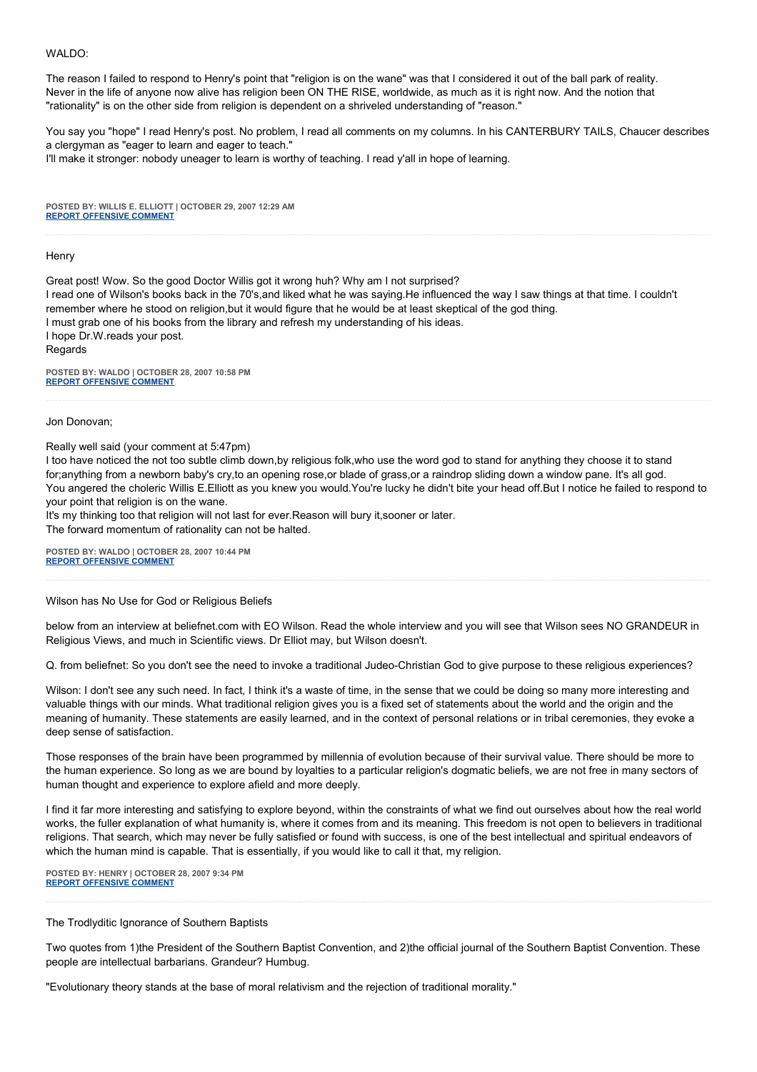## WALDO:

The reason I failed to respond to Henry's point that "religion is on the wane" was that I considered it out of the ball park of reality. Never in the life of anyone now alive has religion been ON THE RISE, worldwide, as much as it is right now. And the notion that "rationality" is on the other side from religion is dependent on a shriveled understanding of "reason."

You say you "hope" I read Henry's post. No problem, I read all comments on my columns. In his CANTERBURY TAILS, Chaucer describes a clergyman as "eager to learn and eager to teach."

I'll make it stronger: nobody uneager to learn is worthy of teaching. I read y'all in hope of learning.

**POSTED BY: WILLIS E. ELLIOTT | OCTOBER 29, 2007 12:29 AM [REPORT OFFENSIVE COMMENT](mailto:blogs@washingtonpost.com?subject=On%20Faith%20Panelists%20Blog%20%20%7C%20%20Willis%20E.%20Elliott%20%20%7C%20%20)**

#### **Henry**

Great post! Wow. So the good Doctor Willis got it wrong huh? Why am I not surprised? I read one of Wilson's books back in the 70's,and liked what he was saying.He influenced the way I saw things at that time. I couldn't remember where he stood on religion,but it would figure that he would be at least skeptical of the god thing. I must grab one of his books from the library and refresh my understanding of his ideas. I hope Dr.W.reads your post. Regards

**POSTED BY: WALDO | OCTOBER 28, 2007 10:58 PM [REPORT OFFENSIVE COMMENT](mailto:blogs@washingtonpost.com?subject=On%20Faith%20Panelists%20Blog%20%20%7C%20%20Waldo%20%20%7C%20%20)**

Jon Donovan;

Really well said (your comment at 5:47pm)

I too have noticed the not too subtle climb down,by religious folk,who use the word god to stand for anything they choose it to stand for;anything from a newborn baby's cry,to an opening rose,or blade of grass,or a raindrop sliding down a window pane. It's all god. You angered the choleric Willis E.Elliott as you knew you would.You're lucky he didn't bite your head off.But I notice he failed to respond to your point that religion is on the wane.

It's my thinking too that religion will not last for ever. Reason will bury it, sooner or later.

The forward momentum of rationality can not be halted.

**POSTED BY: WALDO | OCTOBER 28, 2007 10:44 PM [REPORT OFFENSIVE COMMENT](mailto:blogs@washingtonpost.com?subject=On%20Faith%20Panelists%20Blog%20%20%7C%20%20Waldo%20%20%7C%20%20)**

Wilson has No Use for God or Religious Beliefs

below from an interview at beliefnet.com with EO Wilson. Read the whole interview and you will see that Wilson sees NO GRANDEUR in Religious Views, and much in Scientific views. Dr Elliot may, but Wilson doesn't.

Q. from beliefnet: So you don't see the need to invoke a traditional Judeo-Christian God to give purpose to these religious experiences?

Wilson: I don't see any such need. In fact, I think it's a waste of time, in the sense that we could be doing so many more interesting and valuable things with our minds. What traditional religion gives you is a fixed set of statements about the world and the origin and the meaning of humanity. These statements are easily learned, and in the context of personal relations or in tribal ceremonies, they evoke a deep sense of satisfaction.

Those responses of the brain have been programmed by millennia of evolution because of their survival value. There should be more to the human experience. So long as we are bound by loyalties to a particular religion's dogmatic beliefs, we are not free in many sectors of human thought and experience to explore afield and more deeply.

I find it far more interesting and satisfying to explore beyond, within the constraints of what we find out ourselves about how the real world works, the fuller explanation of what humanity is, where it comes from and its meaning. This freedom is not open to believers in traditional religions. That search, which may never be fully satisfied or found with success, is one of the best intellectual and spiritual endeavors of which the human mind is capable. That is essentially, if you would like to call it that, my religion.

**POSTED BY: HENRY | OCTOBER 28, 2007 9:34 PM [REPORT OFFENSIVE COMMENT](mailto:blogs@washingtonpost.com?subject=On%20Faith%20Panelists%20Blog%20%20%7C%20%20Henry%20%20%7C%20%20)**

The Trodlyditic Ignorance of Southern Baptists

Two quotes from 1)the President of the Southern Baptist Convention, and 2)the official journal of the Southern Baptist Convention. These people are intellectual barbarians. Grandeur? Humbug.

"Evolutionary theory stands at the base of moral relativism and the rejection of traditional morality."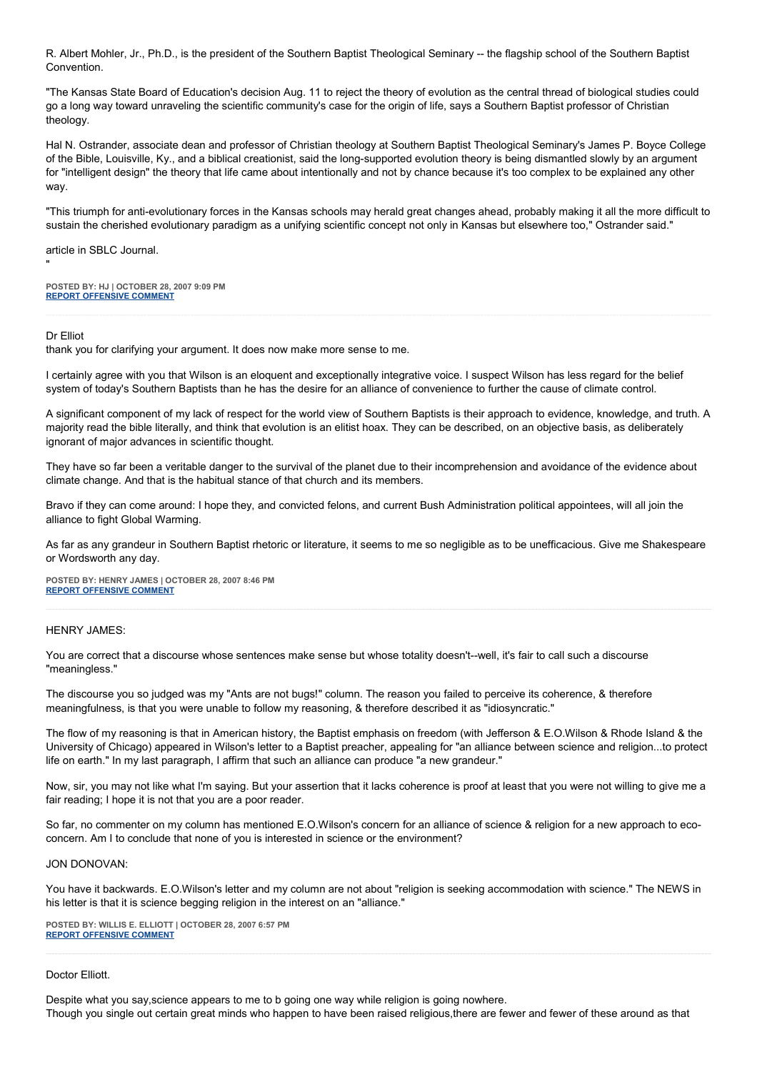R. Albert Mohler, Jr., Ph.D., is the president of the Southern Baptist Theological Seminary -- the flagship school of the Southern Baptist Convention.

"The Kansas State Board of Education's decision Aug. 11 to reject the theory of evolution as the central thread of biological studies could go a long way toward unraveling the scientific community's case for the origin of life, says a Southern Baptist professor of Christian theology.

Hal N. Ostrander, associate dean and professor of Christian theology at Southern Baptist Theological Seminary's James P. Boyce College of the Bible, Louisville, Ky., and a biblical creationist, said the long-supported evolution theory is being dismantled slowly by an argument for "intelligent design" the theory that life came about intentionally and not by chance because it's too complex to be explained any other way.

"This triumph for anti-evolutionary forces in the Kansas schools may herald great changes ahead, probably making it all the more difficult to sustain the cherished evolutionary paradigm as a unifying scientific concept not only in Kansas but elsewhere too," Ostrander said."

article in SBLC Journal.

**POSTED BY: HJ | OCTOBER 28, 2007 9:09 PM [REPORT OFFENSIVE COMMENT](mailto:blogs@washingtonpost.com?subject=On%20Faith%20Panelists%20Blog%20%20%7C%20%20HJ%20%20%7C%20%20)**

## Dr Elliot

"

thank you for clarifying your argument. It does now make more sense to me.

I certainly agree with you that Wilson is an eloquent and exceptionally integrative voice. I suspect Wilson has less regard for the belief system of today's Southern Baptists than he has the desire for an alliance of convenience to further the cause of climate control.

A significant component of my lack of respect for the world view of Southern Baptists is their approach to evidence, knowledge, and truth. A majority read the bible literally, and think that evolution is an elitist hoax. They can be described, on an objective basis, as deliberately ignorant of major advances in scientific thought.

They have so far been a veritable danger to the survival of the planet due to their incomprehension and avoidance of the evidence about climate change. And that is the habitual stance of that church and its members.

Bravo if they can come around: I hope they, and convicted felons, and current Bush Administration political appointees, will all join the alliance to fight Global Warming.

As far as any grandeur in Southern Baptist rhetoric or literature, it seems to me so negligible as to be unefficacious. Give me Shakespeare or Wordsworth any day.

**POSTED BY: HENRY JAMES | OCTOBER 28, 2007 8:46 PM [REPORT OFFENSIVE COMMENT](mailto:blogs@washingtonpost.com?subject=On%20Faith%20Panelists%20Blog%20%20%7C%20%20Henry%20James%20%20%7C%20%20)**

## HENRY JAMES:

You are correct that a discourse whose sentences make sense but whose totality doesn't--well, it's fair to call such a discourse "meaningless."

The discourse you so judged was my "Ants are not bugs!" column. The reason you failed to perceive its coherence, & therefore meaningfulness, is that you were unable to follow my reasoning, & therefore described it as "idiosyncratic."

The flow of my reasoning is that in American history, the Baptist emphasis on freedom (with Jefferson & E.O.Wilson & Rhode Island & the University of Chicago) appeared in Wilson's letter to a Baptist preacher, appealing for "an alliance between science and religion...to protect life on earth." In my last paragraph, I affirm that such an alliance can produce "a new grandeur."

Now, sir, you may not like what I'm saying. But your assertion that it lacks coherence is proof at least that you were not willing to give me a fair reading; I hope it is not that you are a poor reader.

So far, no commenter on my column has mentioned E.O.Wilson's concern for an alliance of science & religion for a new approach to ecoconcern. Am I to conclude that none of you is interested in science or the environment?

#### JON DONOVAN:

You have it backwards. E.O.Wilson's letter and my column are not about "religion is seeking accommodation with science." The NEWS in his letter is that it is science begging religion in the interest on an "alliance."

**POSTED BY: WILLIS E. ELLIOTT | OCTOBER 28, 2007 6:57 PM [REPORT OFFENSIVE COMMENT](mailto:blogs@washingtonpost.com?subject=On%20Faith%20Panelists%20Blog%20%20%7C%20%20Willis%20E.%20Elliott%20%20%7C%20%20)**

#### Doctor Elliott.

Despite what you say,science appears to me to b going one way while religion is going nowhere.

Though you single out certain great minds who happen to have been raised religious,there are fewer and fewer of these around as that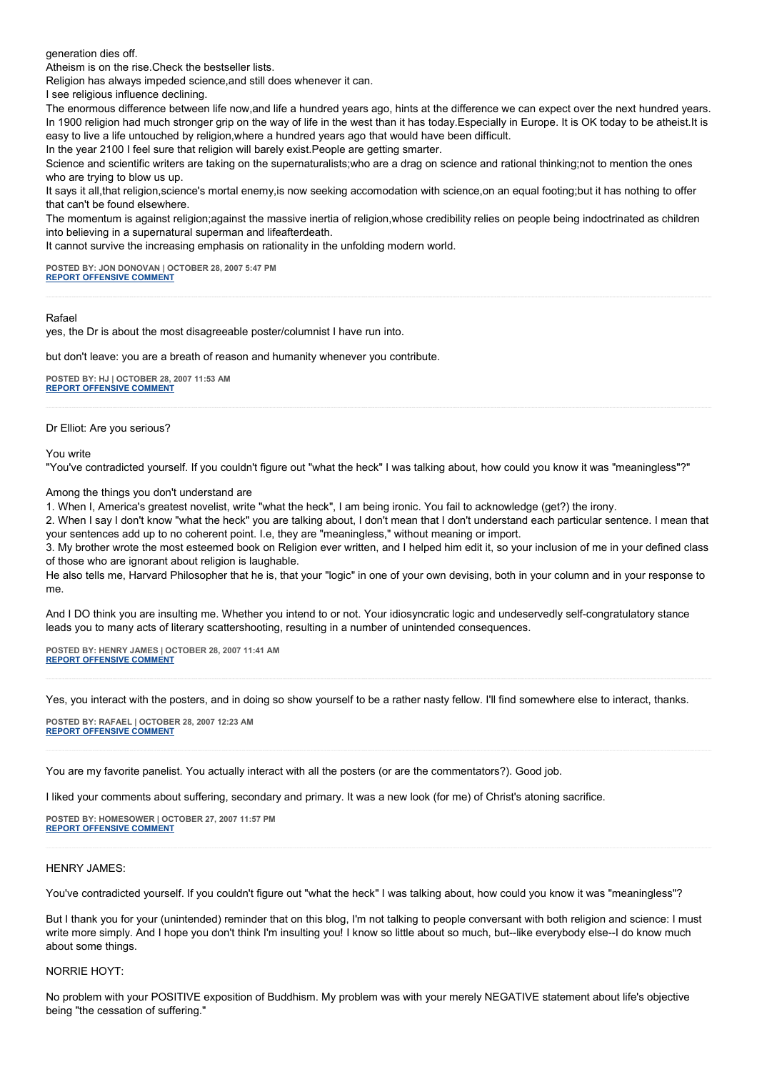generation dies off.

Atheism is on the rise.Check the bestseller lists.

Religion has always impeded science,and still does whenever it can.

I see religious influence declining.

The enormous difference between life now,and life a hundred years ago, hints at the difference we can expect over the next hundred years. In 1900 religion had much stronger grip on the way of life in the west than it has today.Especially in Europe. It is OK today to be atheist.It is easy to live a life untouched by religion,where a hundred years ago that would have been difficult.

In the year 2100 I feel sure that religion will barely exist.People are getting smarter.

Science and scientific writers are taking on the supernaturalists;who are a drag on science and rational thinking;not to mention the ones who are trying to blow us up.

It says it all,that religion,science's mortal enemy,is now seeking accomodation with science,on an equal footing;but it has nothing to offer that can't be found elsewhere.

The momentum is against religion;against the massive inertia of religion,whose credibility relies on people being indoctrinated as children into believing in a supernatural superman and lifeafterdeath.

It cannot survive the increasing emphasis on rationality in the unfolding modern world.

**POSTED BY: JON DONOVAN | OCTOBER 28, 2007 5:47 PM [REPORT OFFENSIVE COMMENT](mailto:blogs@washingtonpost.com?subject=On%20Faith%20Panelists%20Blog%20%20%7C%20%20Jon%20Donovan%20%20%7C%20%20)**

## Rafael

yes, the Dr is about the most disagreeable poster/columnist I have run into.

but don't leave: you are a breath of reason and humanity whenever you contribute.

**POSTED BY: HJ | OCTOBER 28, 2007 11:53 AM [REPORT OFFENSIVE COMMENT](mailto:blogs@washingtonpost.com?subject=On%20Faith%20Panelists%20Blog%20%20%7C%20%20HJ%20%20%7C%20%20)**

#### Dr Elliot: Are you serious?

#### You write

"You've contradicted yourself. If you couldn't figure out "what the heck" I was talking about, how could you know it was "meaningless"?"

Among the things you don't understand are

1. When I, America's greatest novelist, write "what the heck", I am being ironic. You fail to acknowledge (get?) the irony.

2. When I say I don't know "what the heck" you are talking about, I don't mean that I don't understand each particular sentence. I mean that your sentences add up to no coherent point. I.e, they are "meaningless," without meaning or import.

3. My brother wrote the most esteemed book on Religion ever written, and I helped him edit it, so your inclusion of me in your defined class of those who are ignorant about religion is laughable.

He also tells me, Harvard Philosopher that he is, that your "logic" in one of your own devising, both in your column and in your response to me.

And I DO think you are insulting me. Whether you intend to or not. Your idiosyncratic logic and undeservedly self-congratulatory stance leads you to many acts of literary scattershooting, resulting in a number of unintended consequences.

**POSTED BY: HENRY JAMES | OCTOBER 28, 2007 11:41 AM [REPORT OFFENSIVE COMMENT](mailto:blogs@washingtonpost.com?subject=On%20Faith%20Panelists%20Blog%20%20%7C%20%20Henry%20James%20%20%7C%20%20)**

Yes, you interact with the posters, and in doing so show yourself to be a rather nasty fellow. I'll find somewhere else to interact, thanks.

**POSTED BY: RAFAEL | OCTOBER 28, 2007 12:23 AM [REPORT OFFENSIVE COMMENT](mailto:blogs@washingtonpost.com?subject=On%20Faith%20Panelists%20Blog%20%20%7C%20%20rafael%20%20%7C%20%20)**

You are my favorite panelist. You actually interact with all the posters (or are the commentators?). Good job.

I liked your comments about suffering, secondary and primary. It was a new look (for me) of Christ's atoning sacrifice.

**POSTED BY: HOMESOWER | OCTOBER 27, 2007 11:57 PM [REPORT OFFENSIVE COMMENT](mailto:blogs@washingtonpost.com?subject=On%20Faith%20Panelists%20Blog%20%20%7C%20%20Homesower%20%20%7C%20%20)**

## HENRY JAMES:

You've contradicted yourself. If you couldn't figure out "what the heck" I was talking about, how could you know it was "meaningless"?

But I thank you for your (unintended) reminder that on this blog, I'm not talking to people conversant with both religion and science: I must write more simply. And I hope you don't think I'm insulting you! I know so little about so much, but--like everybody else--I do know much about some things.

## NORRIE HOYT:

No problem with your POSITIVE exposition of Buddhism. My problem was with your merely NEGATIVE statement about life's objective being "the cessation of suffering."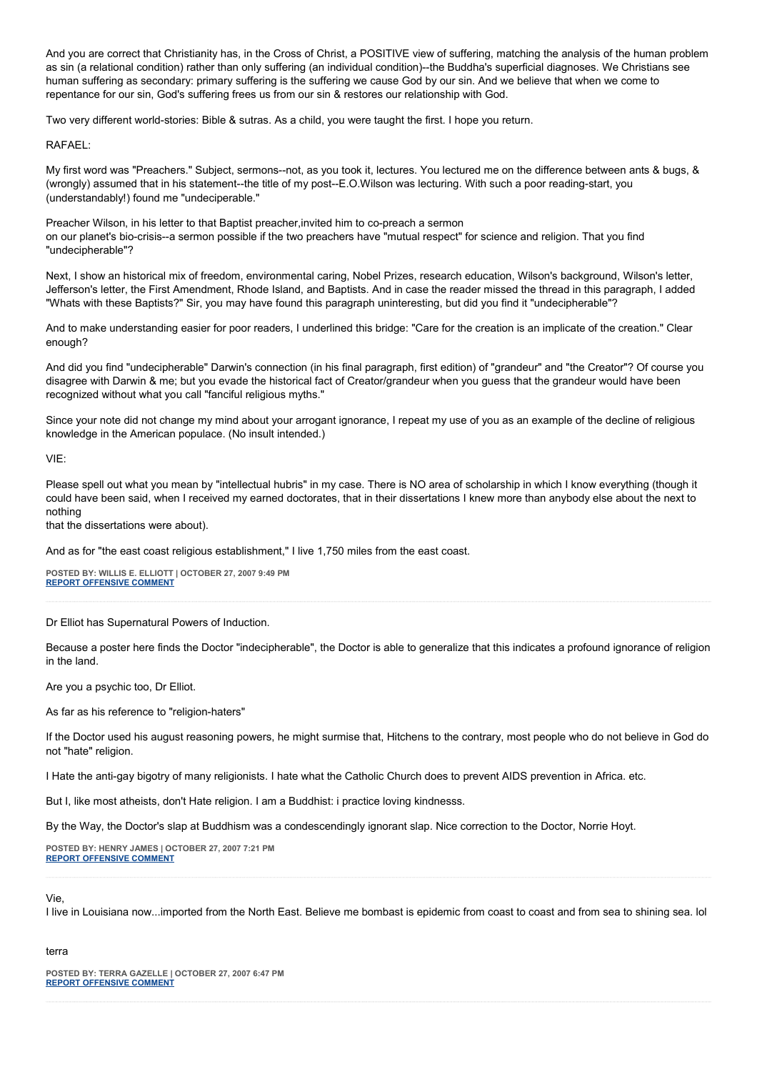And you are correct that Christianity has, in the Cross of Christ, a POSITIVE view of suffering, matching the analysis of the human problem as sin (a relational condition) rather than only suffering (an individual condition)--the Buddha's superficial diagnoses. We Christians see human suffering as secondary: primary suffering is the suffering we cause God by our sin. And we believe that when we come to repentance for our sin, God's suffering frees us from our sin & restores our relationship with God.

Two very different world-stories: Bible & sutras. As a child, you were taught the first. I hope you return.

## RAFAEL:

My first word was "Preachers." Subject, sermons--not, as you took it, lectures. You lectured me on the difference between ants & bugs, & (wrongly) assumed that in his statement--the title of my post--E.O.Wilson was lecturing. With such a poor reading-start, you (understandably!) found me "undeciperable."

Preacher Wilson, in his letter to that Baptist preacher,invited him to co-preach a sermon on our planet's bio-crisis--a sermon possible if the two preachers have "mutual respect" for science and religion. That you find "undecipherable"?

Next, I show an historical mix of freedom, environmental caring, Nobel Prizes, research education, Wilson's background, Wilson's letter, Jefferson's letter, the First Amendment, Rhode Island, and Baptists. And in case the reader missed the thread in this paragraph, I added "Whats with these Baptists?" Sir, you may have found this paragraph uninteresting, but did you find it "undecipherable"?

And to make understanding easier for poor readers, I underlined this bridge: "Care for the creation is an implicate of the creation." Clear enough?

And did you find "undecipherable" Darwin's connection (in his final paragraph, first edition) of "grandeur" and "the Creator"? Of course you disagree with Darwin & me; but you evade the historical fact of Creator/grandeur when you guess that the grandeur would have been recognized without what you call "fanciful religious myths."

Since your note did not change my mind about your arrogant ignorance, I repeat my use of you as an example of the decline of religious knowledge in the American populace. (No insult intended.)

VIE:

Please spell out what you mean by "intellectual hubris" in my case. There is NO area of scholarship in which I know everything (though it could have been said, when I received my earned doctorates, that in their dissertations I knew more than anybody else about the next to nothing

that the dissertations were about).

And as for "the east coast religious establishment," I live 1,750 miles from the east coast.

**POSTED BY: WILLIS E. ELLIOTT | OCTOBER 27, 2007 9:49 PM [REPORT OFFENSIVE COMMENT](mailto:blogs@washingtonpost.com?subject=On%20Faith%20Panelists%20Blog%20%20%7C%20%20Willis%20E.%20Elliott%20%20%7C%20%20)**

Dr Elliot has Supernatural Powers of Induction.

Because a poster here finds the Doctor "indecipherable", the Doctor is able to generalize that this indicates a profound ignorance of religion in the land.

Are you a psychic too, Dr Elliot.

As far as his reference to "religion-haters"

If the Doctor used his august reasoning powers, he might surmise that, Hitchens to the contrary, most people who do not believe in God do not "hate" religion.

I Hate the anti-gay bigotry of many religionists. I hate what the Catholic Church does to prevent AIDS prevention in Africa. etc.

But I, like most atheists, don't Hate religion. I am a Buddhist: i practice loving kindnesss.

By the Way, the Doctor's slap at Buddhism was a condescendingly ignorant slap. Nice correction to the Doctor, Norrie Hoyt.

**POSTED BY: HENRY JAMES | OCTOBER 27, 2007 7:21 PM [REPORT OFFENSIVE COMMENT](mailto:blogs@washingtonpost.com?subject=On%20Faith%20Panelists%20Blog%20%20%7C%20%20Henry%20James%20%20%7C%20%20)**

## Vie,

I live in Louisiana now...imported from the North East. Believe me bombast is epidemic from coast to coast and from sea to shining sea. lol

## terra

**POSTED BY: TERRA GAZELLE | OCTOBER 27, 2007 6:47 PM [REPORT OFFENSIVE COMMENT](mailto:blogs@washingtonpost.com?subject=On%20Faith%20Panelists%20Blog%20%20%7C%20%20Terra%20Gazelle%20%20%7C%20%20)**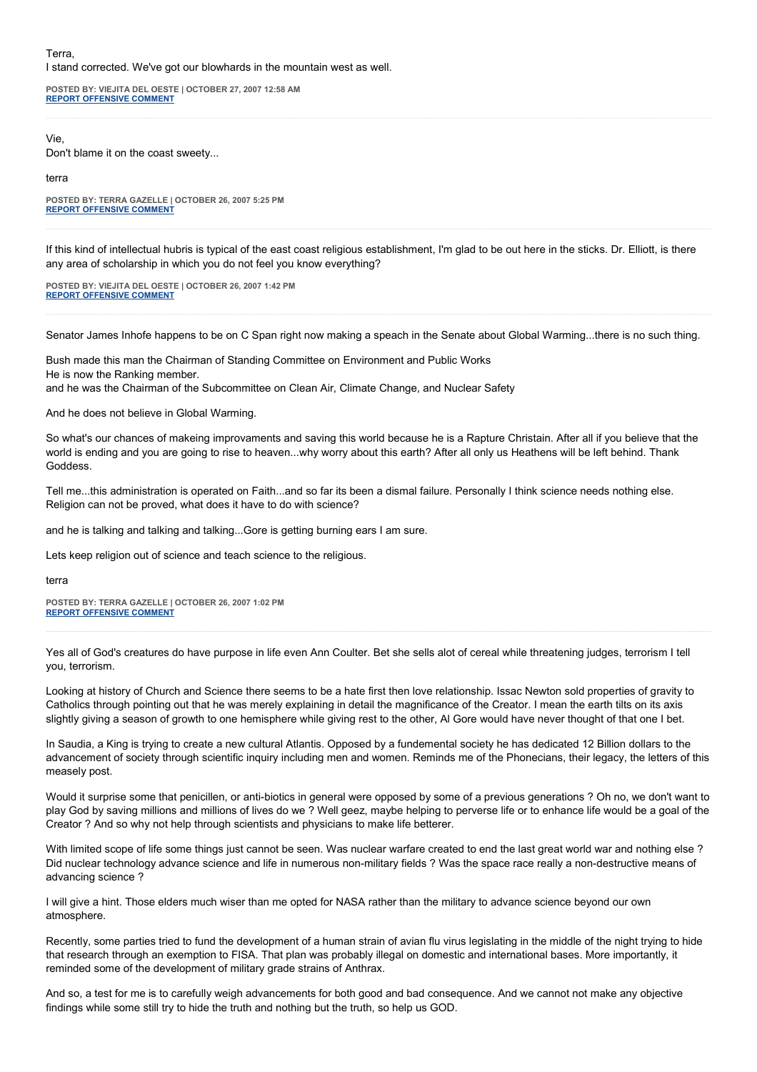## Terra, I stand corrected. We've got our blowhards in the mountain west as well.

**POSTED BY: VIEJITA DEL OESTE | OCTOBER 27, 2007 12:58 AM [REPORT OFFENSIVE COMMENT](mailto:blogs@washingtonpost.com?subject=On%20Faith%20Panelists%20Blog%20%20%7C%20%20Viejita%20del%20oeste%20%20%7C%20%20)**

## Vie,

Don't blame it on the coast sweety...

terra

**POSTED BY: TERRA GAZELLE | OCTOBER 26, 2007 5:25 PM [REPORT OFFENSIVE COMMENT](mailto:blogs@washingtonpost.com?subject=On%20Faith%20Panelists%20Blog%20%20%7C%20%20Terra%20Gazelle%20%20%7C%20%20)**

If this kind of intellectual hubris is typical of the east coast religious establishment, I'm glad to be out here in the sticks. Dr. Elliott, is there any area of scholarship in which you do not feel you know everything?

**POSTED BY: VIEJITA DEL OESTE | OCTOBER 26, 2007 1:42 PM [REPORT OFFENSIVE COMMENT](mailto:blogs@washingtonpost.com?subject=On%20Faith%20Panelists%20Blog%20%20%7C%20%20Viejita%20del%20oeste%20%20%7C%20%20)**

Senator James Inhofe happens to be on C Span right now making a speach in the Senate about Global Warming...there is no such thing.

Bush made this man the Chairman of Standing Committee on Environment and Public Works He is now the Ranking member. and he was the Chairman of the Subcommittee on Clean Air, Climate Change, and Nuclear Safety

And he does not believe in Global Warming.

So what's our chances of makeing improvaments and saving this world because he is a Rapture Christain. After all if you believe that the world is ending and you are going to rise to heaven...why worry about this earth? After all only us Heathens will be left behind. Thank Goddess.

Tell me...this administration is operated on Faith...and so far its been a dismal failure. Personally I think science needs nothing else. Religion can not be proved, what does it have to do with science?

and he is talking and talking and talking...Gore is getting burning ears I am sure.

Lets keep religion out of science and teach science to the religious.

terra

**POSTED BY: TERRA GAZELLE | OCTOBER 26, 2007 1:02 PM [REPORT OFFENSIVE COMMENT](mailto:blogs@washingtonpost.com?subject=On%20Faith%20Panelists%20Blog%20%20%7C%20%20Terra%20Gazelle%20%20%7C%20%20)**

Yes all of God's creatures do have purpose in life even Ann Coulter. Bet she sells alot of cereal while threatening judges, terrorism I tell you, terrorism.

Looking at history of Church and Science there seems to be a hate first then love relationship. Issac Newton sold properties of gravity to Catholics through pointing out that he was merely explaining in detail the magnificance of the Creator. I mean the earth tilts on its axis slightly giving a season of growth to one hemisphere while giving rest to the other, AI Gore would have never thought of that one I bet.

In Saudia, a King is trying to create a new cultural Atlantis. Opposed by a fundemental society he has dedicated 12 Billion dollars to the advancement of society through scientific inquiry including men and women. Reminds me of the Phonecians, their legacy, the letters of this measely post.

Would it surprise some that penicillen, or anti-biotics in general were opposed by some of a previous generations ? Oh no, we don't want to play God by saving millions and millions of lives do we ? Well geez, maybe helping to perverse life or to enhance life would be a goal of the Creator ? And so why not help through scientists and physicians to make life betterer.

With limited scope of life some things just cannot be seen. Was nuclear warfare created to end the last great world war and nothing else ? Did nuclear technology advance science and life in numerous non-military fields ? Was the space race really a non-destructive means of advancing science ?

I will give a hint. Those elders much wiser than me opted for NASA rather than the military to advance science beyond our own atmosphere.

Recently, some parties tried to fund the development of a human strain of avian flu virus legislating in the middle of the night trying to hide that research through an exemption to FISA. That plan was probably illegal on domestic and international bases. More importantly, it reminded some of the development of military grade strains of Anthrax.

And so, a test for me is to carefully weigh advancements for both good and bad consequence. And we cannot not make any objective findings while some still try to hide the truth and nothing but the truth, so help us GOD.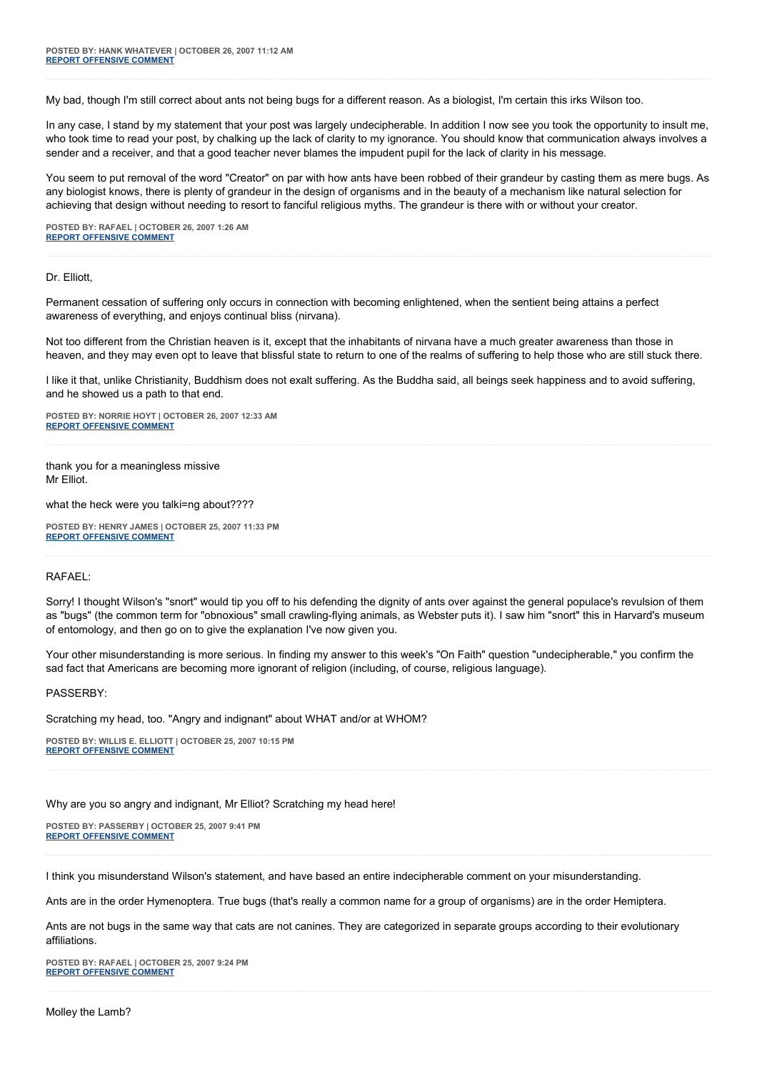My bad, though I'm still correct about ants not being bugs for a different reason. As a biologist, I'm certain this irks Wilson too.

In any case, I stand by my statement that your post was largely undecipherable. In addition I now see you took the opportunity to insult me, who took time to read your post, by chalking up the lack of clarity to my ignorance. You should know that communication always involves a sender and a receiver, and that a good teacher never blames the impudent pupil for the lack of clarity in his message.

You seem to put removal of the word "Creator" on par with how ants have been robbed of their grandeur by casting them as mere bugs. As any biologist knows, there is plenty of grandeur in the design of organisms and in the beauty of a mechanism like natural selection for achieving that design without needing to resort to fanciful religious myths. The grandeur is there with or without your creator.

**POSTED BY: RAFAEL | OCTOBER 26, 2007 1:26 AM [REPORT OFFENSIVE COMMENT](mailto:blogs@washingtonpost.com?subject=On%20Faith%20Panelists%20Blog%20%20%7C%20%20rafael%20%20%7C%20%20)**

#### Dr. Elliott,

Permanent cessation of suffering only occurs in connection with becoming enlightened, when the sentient being attains a perfect awareness of everything, and enjoys continual bliss (nirvana).

Not too different from the Christian heaven is it, except that the inhabitants of nirvana have a much greater awareness than those in heaven, and they may even opt to leave that blissful state to return to one of the realms of suffering to help those who are still stuck there.

I like it that, unlike Christianity, Buddhism does not exalt suffering. As the Buddha said, all beings seek happiness and to avoid suffering, and he showed us a path to that end.

**POSTED BY: NORRIE HOYT | OCTOBER 26, 2007 12:33 AM [REPORT OFFENSIVE COMMENT](mailto:blogs@washingtonpost.com?subject=On%20Faith%20Panelists%20Blog%20%20%7C%20%20Norrie%20Hoyt%20%20%7C%20%20)**

thank you for a meaningless missive Mr Elliot.

what the heck were you talki=ng about????

**POSTED BY: HENRY JAMES | OCTOBER 25, 2007 11:33 PM [REPORT OFFENSIVE COMMENT](mailto:blogs@washingtonpost.com?subject=On%20Faith%20Panelists%20Blog%20%20%7C%20%20Henry%20James%20%20%7C%20%20)**

## RAFAEL:

Sorry! I thought Wilson's "snort" would tip you off to his defending the dignity of ants over against the general populace's revulsion of them as "bugs" (the common term for "obnoxious" small crawling-flying animals, as Webster puts it). I saw him "snort" this in Harvard's museum of entomology, and then go on to give the explanation I've now given you.

Your other misunderstanding is more serious. In finding my answer to this week's "On Faith" question "undecipherable," you confirm the sad fact that Americans are becoming more ignorant of religion (including, of course, religious language).

#### PASSERBY:

Scratching my head, too. "Angry and indignant" about WHAT and/or at WHOM?

**POSTED BY: WILLIS E. ELLIOTT | OCTOBER 25, 2007 10:15 PM [REPORT OFFENSIVE COMMENT](mailto:blogs@washingtonpost.com?subject=On%20Faith%20Panelists%20Blog%20%20%7C%20%20Willis%20E.%20Elliott%20%20%7C%20%20)**

Why are you so angry and indignant, Mr Elliot? Scratching my head here!

**POSTED BY: PASSERBY | OCTOBER 25, 2007 9:41 PM [REPORT OFFENSIVE COMMENT](mailto:blogs@washingtonpost.com?subject=On%20Faith%20Panelists%20Blog%20%20%7C%20%20passerby%20%20%7C%20%20)**

I think you misunderstand Wilson's statement, and have based an entire indecipherable comment on your misunderstanding.

Ants are in the order Hymenoptera. True bugs (that's really a common name for a group of organisms) are in the order Hemiptera.

Ants are not bugs in the same way that cats are not canines. They are categorized in separate groups according to their evolutionary affiliations.

**POSTED BY: RAFAEL | OCTOBER 25, 2007 9:24 PM [REPORT OFFENSIVE COMMENT](mailto:blogs@washingtonpost.com?subject=On%20Faith%20Panelists%20Blog%20%20%7C%20%20rafael%20%20%7C%20%20)**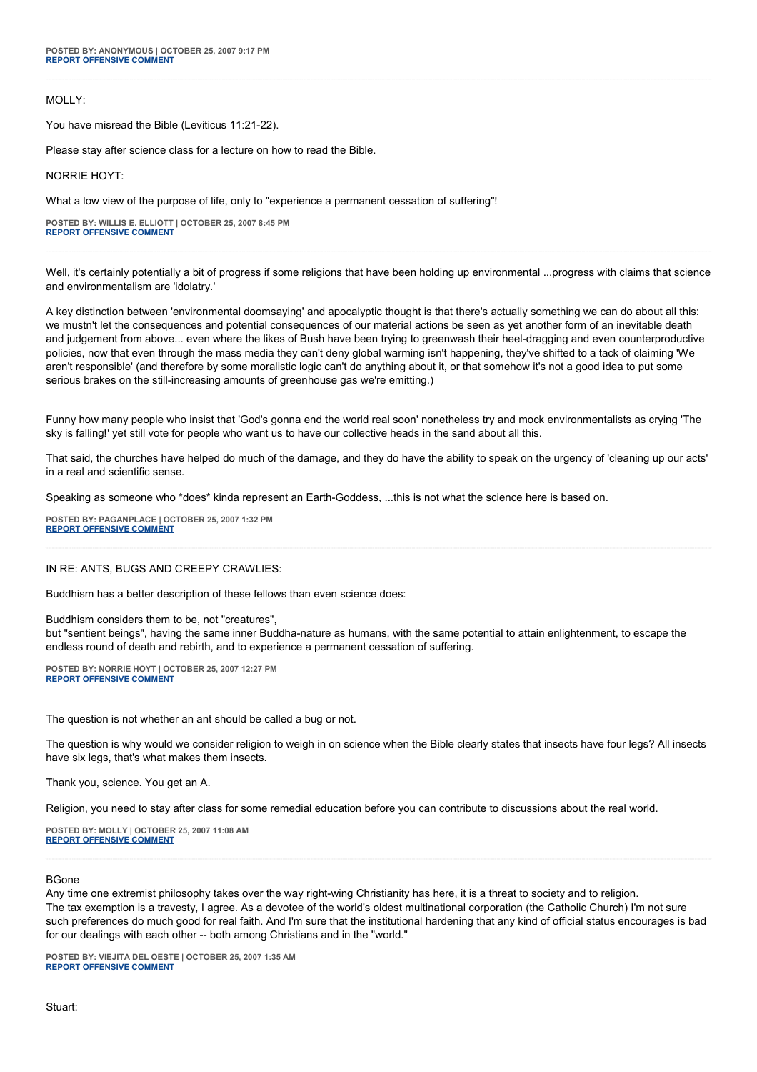## MOLLY:

You have misread the Bible (Leviticus 11:21-22).

Please stay after science class for a lecture on how to read the Bible.

NORRIE HOYT:

What a low view of the purpose of life, only to "experience a permanent cessation of suffering"!

**POSTED BY: WILLIS E. ELLIOTT | OCTOBER 25, 2007 8:45 PM [REPORT OFFENSIVE COMMENT](mailto:blogs@washingtonpost.com?subject=On%20Faith%20Panelists%20Blog%20%20%7C%20%20Willis%20E.%20Elliott%20%20%7C%20%20)**

Well, it's certainly potentially a bit of progress if some religions that have been holding up environmental ...progress with claims that science and environmentalism are 'idolatry.'

A key distinction between 'environmental doomsaying' and apocalyptic thought is that there's actually something we can do about all this: we mustn't let the consequences and potential consequences of our material actions be seen as yet another form of an inevitable death and judgement from above... even where the likes of Bush have been trying to greenwash their heel-dragging and even counterproductive policies, now that even through the mass media they can't deny global warming isn't happening, they've shifted to a tack of claiming 'We aren't responsible' (and therefore by some moralistic logic can't do anything about it, or that somehow it's not a good idea to put some serious brakes on the still-increasing amounts of greenhouse gas we're emitting.)

Funny how many people who insist that 'God's gonna end the world real soon' nonetheless try and mock environmentalists as crying 'The sky is falling!' yet still vote for people who want us to have our collective heads in the sand about all this.

That said, the churches have helped do much of the damage, and they do have the ability to speak on the urgency of 'cleaning up our acts' in a real and scientific sense.

Speaking as someone who \*does\* kinda represent an Earth-Goddess, ...this is not what the science here is based on.

**POSTED BY: PAGANPLACE | OCTOBER 25, 2007 1:32 PM [REPORT OFFENSIVE COMMENT](mailto:blogs@washingtonpost.com?subject=On%20Faith%20Panelists%20Blog%20%20%7C%20%20Paganplace%20%20%7C%20%20)**

## IN RE: ANTS, BUGS AND CREEPY CRAWLIES:

Buddhism has a better description of these fellows than even science does:

Buddhism considers them to be, not "creatures",

but "sentient beings", having the same inner Buddha-nature as humans, with the same potential to attain enlightenment, to escape the endless round of death and rebirth, and to experience a permanent cessation of suffering.

**POSTED BY: NORRIE HOYT | OCTOBER 25, 2007 12:27 PM [REPORT OFFENSIVE COMMENT](mailto:blogs@washingtonpost.com?subject=On%20Faith%20Panelists%20Blog%20%20%7C%20%20Norrie%20Hoyt%20%20%7C%20%20)**

The question is not whether an ant should be called a bug or not.

The question is why would we consider religion to weigh in on science when the Bible clearly states that insects have four legs? All insects have six legs, that's what makes them insects.

Thank you, science. You get an A.

Religion, you need to stay after class for some remedial education before you can contribute to discussions about the real world.

**POSTED BY: MOLLY | OCTOBER 25, 2007 11:08 AM [REPORT OFFENSIVE COMMENT](mailto:blogs@washingtonpost.com?subject=On%20Faith%20Panelists%20Blog%20%20%7C%20%20Molly%20%20%7C%20%20)**

#### BGone

Any time one extremist philosophy takes over the way right-wing Christianity has here, it is a threat to society and to religion. The tax exemption is a travesty, I agree. As a devotee of the world's oldest multinational corporation (the Catholic Church) I'm not sure such preferences do much good for real faith. And I'm sure that the institutional hardening that any kind of official status encourages is bad for our dealings with each other -- both among Christians and in the "world."

**POSTED BY: VIEJITA DEL OESTE | OCTOBER 25, 2007 1:35 AM [REPORT OFFENSIVE COMMENT](mailto:blogs@washingtonpost.com?subject=On%20Faith%20Panelists%20Blog%20%20%7C%20%20Viejita%20del%20oeste%20%20%7C%20%20)**